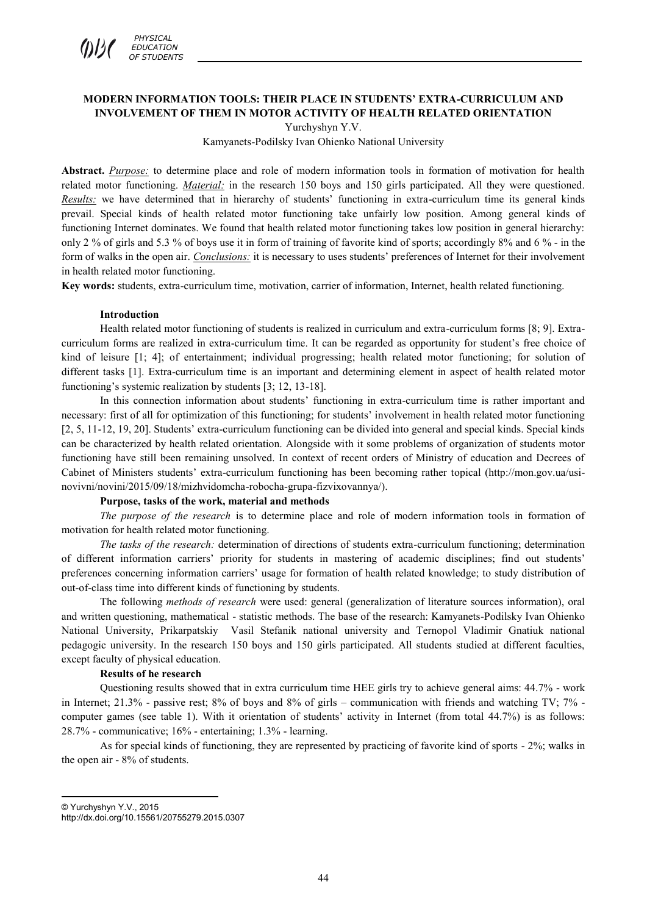

# **MODERN INFORMATION TOOLS: THEIR PLACE IN STUDENTS' EXTRA-CURRICULUM AND INVOLVEMENT OF THEM IN MOTOR ACTIVITY OF HEALTH RELATED ORIENTATION**

Yurchyshyn Y.V.

Kamyanets-Podilsky Ivan Ohienko National University

**Abstract.** *Purpose:* to determine place and role of modern information tools in formation of motivation for health related motor functioning. *Material:* in the research 150 boys and 150 girls participated. All they were questioned. *Results:* we have determined that in hierarchy of students' functioning in extra-curriculum time its general kinds prevail. Special kinds of health related motor functioning take unfairly low position. Among general kinds of functioning Internet dominates. We found that health related motor functioning takes low position in general hierarchy: only 2 % of girls and 5.3 % of boys use it in form of training of favorite kind of sports; accordingly 8% and 6 % - in the form of walks in the open air. *Conclusions:* it is necessary to uses students' preferences of Internet for their involvement in health related motor functioning.

**Key words:** students, extra-curriculum time, motivation, carrier of information, Internet, health related functioning.

#### **Introduction**

Health related motor functioning of students is realized in curriculum and extra-curriculum forms [8; 9]. Extracurriculum forms are realized in extra-curriculum time. It can be regarded as opportunity for student's free choice of kind of leisure [1; 4]; of entertainment; individual progressing; health related motor functioning; for solution of different tasks [1]. Extra-curriculum time is an important and determining element in aspect of health related motor functioning's systemic realization by students [3; 12, 13-18].

In this connection information about students' functioning in extra-curriculum time is rather important and necessary: first of all for optimization of this functioning; for students' involvement in health related motor functioning [2, 5, 11-12, 19, 20]. Students' extra-curriculum functioning can be divided into general and special kinds. Special kinds can be characterized by health related orientation. Alongside with it some problems of organization of students motor functioning have still been remaining unsolved. In context of recent orders of Ministry of education and Decrees of Cabinet of Ministers students' extra-curriculum functioning has been becoming rather topical (http://mon.gov.ua/usinovivni/novini/2015/09/18/mizhvidomcha-robocha-grupa-fizvixovannya/).

#### **Purpose, tasks of the work, material and methods**

*The purpose of the research* is to determine place and role of modern information tools in formation of motivation for health related motor functioning.

*The tasks of the research:* determination of directions of students extra-curriculum functioning; determination of different information carriers' priority for students in mastering of academic disciplines; find out students' preferences concerning information carriers' usage for formation of health related knowledge; to study distribution of out-of-class time into different kinds of functioning by students.

The following *methods of research* were used: general (generalization of literature sources information), oral and written questioning, mathematical - statistic methods. The base of the research: Kamyanets-Podilsky Ivan Ohienko National University, Prikarpatskiy Vasil Stefanik national university and Ternopol Vladimir Gnatiuk national pedagogic university. In the research 150 boys and 150 girls participated. All students studied at different faculties, except faculty of physical education.

#### **Results of he research**

Questioning results showed that in extra curriculum time HEE girls try to achieve general aims: 44.7% - work in Internet; 21.3% - passive rest; 8% of boys and 8% of girls – communication with friends and watching TV; 7% computer games (see table 1). With it orientation of students' activity in Internet (from total 44.7%) is as follows: 28.7% - communicative; 16% - entertaining; 1.3% - learning.

As for special kinds of functioning, they are represented by practicing of favorite kind of sports - 2%; walks in the open air - 8% of students.

 $\overline{a}$ © Yurchyshyn Y.V., 2015

http://dx.doi.org/10.15561/20755279.2015.0307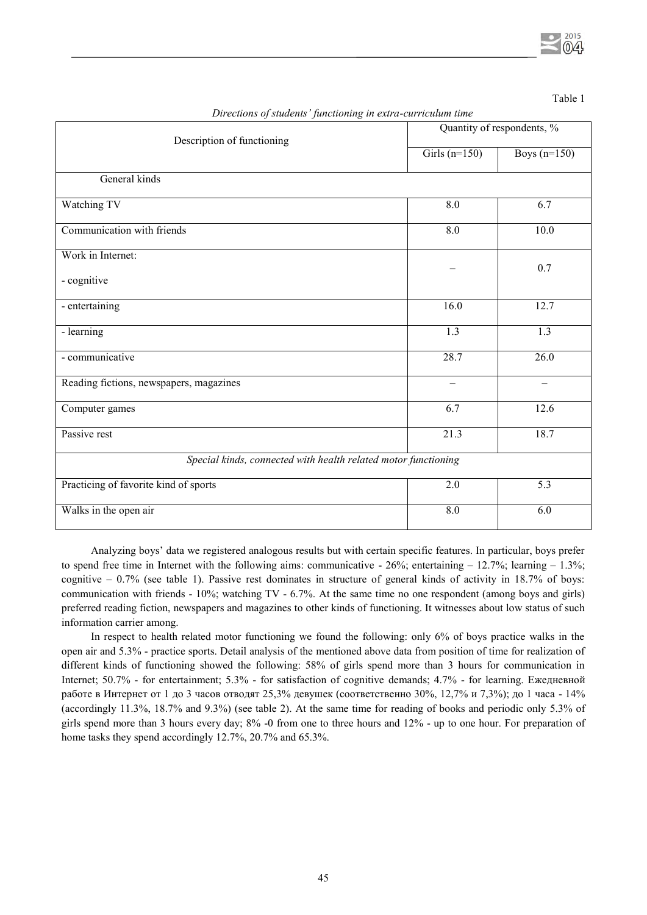Table 1

| ပ<br>Description of functioning                                | Quantity of respondents, % |                  |  |  |  |  |  |  |
|----------------------------------------------------------------|----------------------------|------------------|--|--|--|--|--|--|
|                                                                | Girls $(n=150)$            | Boys $(n=150)$   |  |  |  |  |  |  |
| General kinds                                                  |                            |                  |  |  |  |  |  |  |
| Watching TV                                                    | 8.0                        | 6.7              |  |  |  |  |  |  |
| Communication with friends                                     | 8.0                        | 10.0             |  |  |  |  |  |  |
| Work in Internet:                                              |                            | 0.7              |  |  |  |  |  |  |
| - cognitive                                                    |                            |                  |  |  |  |  |  |  |
| - entertaining                                                 | 16.0                       | 12.7             |  |  |  |  |  |  |
| - learning                                                     | $\overline{1.3}$           | $\overline{1.3}$ |  |  |  |  |  |  |
| - communicative                                                | 28.7                       | 26.0             |  |  |  |  |  |  |
| Reading fictions, newspapers, magazines                        | $\overline{\phantom{0}}$   | $\equiv$         |  |  |  |  |  |  |
| Computer games                                                 | 6.7                        | 12.6             |  |  |  |  |  |  |
| Passive rest                                                   | 21.3                       | 18.7             |  |  |  |  |  |  |
| Special kinds, connected with health related motor functioning |                            |                  |  |  |  |  |  |  |
| Practicing of favorite kind of sports                          | $\overline{2.0}$           | $\overline{5.3}$ |  |  |  |  |  |  |
| Walks in the open air                                          | 8.0                        | 6.0              |  |  |  |  |  |  |

*Directions of students' functioning in extra-curriculum time* 

Analyzing boys' data we registered analogous results but with certain specific features. In particular, boys prefer to spend free time in Internet with the following aims: communicative  $-26\%$ ; entertaining  $-12.7\%$ ; learning  $-1.3\%$ ; cognitive  $-0.7\%$  (see table 1). Passive rest dominates in structure of general kinds of activity in 18.7% of boys: communication with friends - 10%; watching TV - 6.7%. At the same time no one respondent (among boys and girls) preferred reading fiction, newspapers and magazines to other kinds of functioning. It witnesses about low status of such information carrier among.

In respect to health related motor functioning we found the following: only 6% of boys practice walks in the open air and 5.3% - practice sports. Detail analysis of the mentioned above data from position of time for realization of different kinds of functioning showed the following: 58% of girls spend more than 3 hours for communication in Internet; 50.7% - for entertainment; 5.3% - for satisfaction of cognitive demands; 4.7% - for learning. Ежедневной работе в Интернет от 1 до 3 часов отводят 25,3% девушек (соответственно 30%, 12,7% и 7,3%); до 1 часа - 14% (accordingly 11.3%, 18.7% and 9.3%) (see table 2). At the same time for reading of books and periodic only 5.3% of girls spend more than 3 hours every day; 8% -0 from one to three hours and 12% - up to one hour. For preparation of home tasks they spend accordingly 12.7%, 20.7% and 65.3%.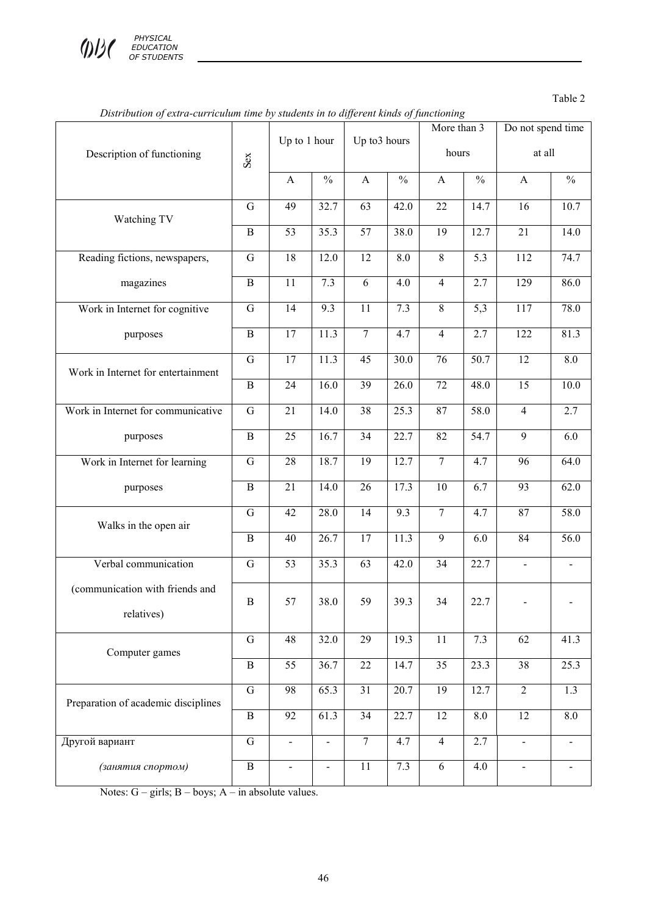

Table 2

|                                               |                | Up to 1 hour    |                              | Up to3 hours    |                  | More than 3     |                   | Do not spend time        |                   |
|-----------------------------------------------|----------------|-----------------|------------------------------|-----------------|------------------|-----------------|-------------------|--------------------------|-------------------|
| Description of functioning                    | Sex            |                 |                              |                 |                  | hours           |                   | at all                   |                   |
|                                               |                | A               | $\frac{0}{0}$                | $\mathbf{A}$    | $\frac{0}{0}$    | A               | $\frac{0}{0}$     | $\mathbf{A}$             | $\frac{0}{0}$     |
| Watching TV                                   | $\overline{G}$ | 49              | 32.7                         | $\overline{63}$ | 42.0             | $\overline{22}$ | 14.7              | $\overline{16}$          | 10.7              |
|                                               | $\mathbf B$    | $\overline{53}$ | 35.3                         | $\overline{57}$ | 38.0             | $\overline{19}$ | 12.7              | $\overline{21}$          | 14.0              |
| Reading fictions, newspapers,                 | $\mathbf G$    | 18              | 12.0                         | 12              | 8.0              | $\,8\,$         | 5.3               | 112                      | 74.7              |
| magazines                                     | $\overline{B}$ | $\overline{11}$ | 7.3                          | $\overline{6}$  | $\overline{4.0}$ | $\overline{4}$  | 2.7               | 129                      | 86.0              |
| Work in Internet for cognitive                | $\overline{G}$ | $\overline{14}$ | $\overline{9.3}$             | $\overline{11}$ | 7.3              | $\overline{8}$  | $\overline{5,3}$  | $\overline{117}$         | 78.0              |
| purposes                                      | $\, {\bf B}$   | 17              | 11.3                         | $\overline{7}$  | 4.7              | $\overline{4}$  | 2.7               | 122                      | 81.3              |
| Work in Internet for entertainment            | $\overline{G}$ | $\overline{17}$ | 11.3                         | 45              | 30.0             | 76              | $\overline{50.7}$ | 12                       | 8.0               |
|                                               | $\bf{B}$       | $\overline{24}$ | 16.0                         | 39              | 26.0             | 72              | 48.0              | $\overline{15}$          | $\overline{10.0}$ |
| Work in Internet for communicative            | ${\bf G}$      | 21              | 14.0                         | $\overline{38}$ | 25.3             | 87              | 58.0              | $\overline{4}$           | 2.7               |
| purposes                                      | $\, {\bf B}$   | 25              | 16.7                         | $\overline{34}$ | 22.7             | 82              | 54.7              | $\overline{9}$           | 6.0               |
| Work in Internet for learning                 | $\mathbf G$    | 28              | 18.7                         | $\overline{19}$ | 12.7             | $\overline{7}$  | 4.7               | $\overline{96}$          | 64.0              |
| purposes                                      | $\bf{B}$       | 21              | 14.0                         | 26              | 17.3             | $10\,$          | 6.7               | 93                       | 62.0              |
| Walks in the open air                         | ${\bf G}$      | 42              | 28.0                         | 14              | $\overline{9.3}$ | $\overline{7}$  | 4.7               | 87                       | 58.0              |
|                                               | $\bf{B}$       | 40              | 26.7                         | 17              | 11.3             | $\mathbf{9}$    | 6.0               | 84                       | 56.0              |
| Verbal communication                          | ${\bf G}$      | 53              | 35.3                         | 63              | 42.0             | 34              | 22.7              | $\blacksquare$           |                   |
| (communication with friends and<br>relatives) | $\mathbf B$    | 57              | 38.0                         | 59              | 39.3             | 34              | 22.7              |                          |                   |
| Computer games                                | $\overline{G}$ | 48              | 32.0                         | 29              | 19.3             | 11              | 7.3               | 62                       | 41.3              |
|                                               | $\overline{B}$ | $\overline{55}$ | 36.7                         | 22              | 14.7             | $\overline{35}$ | 23.3              | 38                       | 25.3              |
| Preparation of academic disciplines           | $\overline{G}$ | $\overline{98}$ | 65.3                         | $\overline{31}$ | 20.7             | 19              | 12.7              | $\overline{2}$           | $\overline{1.3}$  |
|                                               | $\, {\bf B}$   | 92              | 61.3                         | 34              | 22.7             | 12              | $8.0\,$           | 12                       | $8.0\,$           |
| Другой вариант                                | G              | $\blacksquare$  | $\qquad \qquad \blacksquare$ | $\tau$          | 4.7              | 4               | 2.7               | $\overline{\phantom{0}}$ |                   |
| (занятия спортом)                             | $\, {\bf B}$   | $\frac{1}{2}$   | $\overline{\phantom{0}}$     | 11              | 7.3              | 6               | 4.0               | $\blacksquare$           |                   |

*Distribution of extra-curriculum time by students in to different kinds of functioning* 

Notes: G – girls; B – boys; A – in absolute values.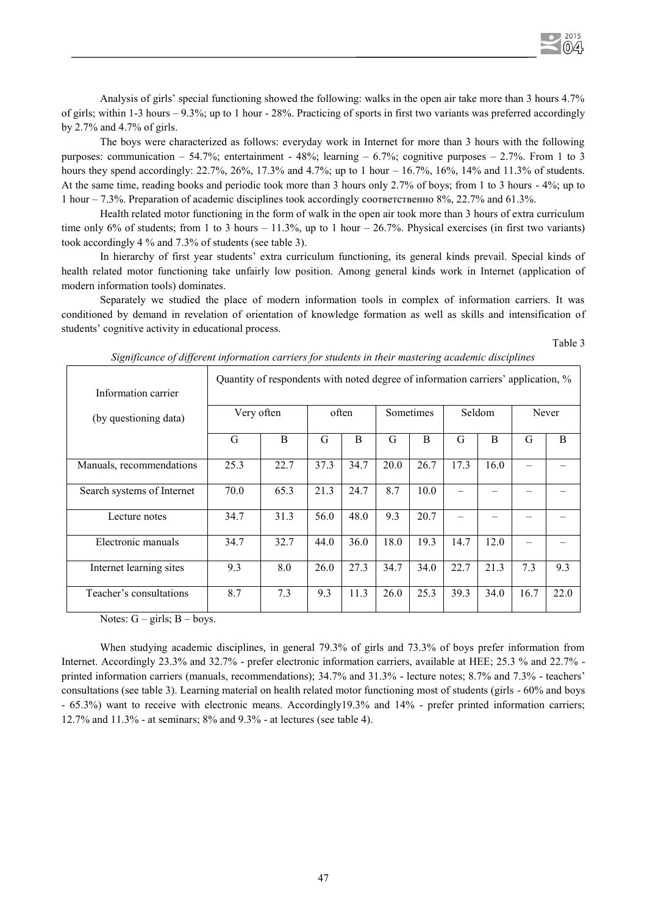

The boys were characterized as follows: everyday work in Internet for more than 3 hours with the following purposes: communication – 54.7%; entertainment - 48%; learning – 6.7%; cognitive purposes – 2.7%. From 1 to 3 hours they spend accordingly:  $22.7\%$ ,  $26\%$ ,  $17.3\%$  and  $4.7\%$ ; up to 1 hour  $-16.7\%$ ,  $16\%$ ,  $14\%$  and  $11.3\%$  of students. At the same time, reading books and periodic took more than 3 hours only 2.7% of boys; from 1 to 3 hours - 4%; up to 1 hour – 7.3%. Preparation of academic disciplines took accordingly соответственно 8%, 22.7% and 61.3%.

Health related motor functioning in the form of walk in the open air took more than 3 hours of extra curriculum time only 6% of students; from 1 to 3 hours – 11.3%, up to 1 hour – 26.7%. Physical exercises (in first two variants) took accordingly 4 % and 7.3% of students (see table 3).

In hierarchy of first year students' extra curriculum functioning, its general kinds prevail. Special kinds of health related motor functioning take unfairly low position. Among general kinds work in Internet (application of modern information tools) dominates.

Separately we studied the place of modern information tools in complex of information carriers. It was conditioned by demand in revelation of orientation of knowledge formation as well as skills and intensification of students' cognitive activity in educational process.

Table 3

 $2015$  $\Omega$ 

| Information carrier        | Quantity of respondents with noted degree of information carriers' application, % |                                            |      |      |      |      |       |      |      |      |  |
|----------------------------|-----------------------------------------------------------------------------------|--------------------------------------------|------|------|------|------|-------|------|------|------|--|
| (by questioning data)      |                                                                                   | Very often<br>often<br>Sometimes<br>Seldom |      |      |      |      | Never |      |      |      |  |
|                            | G                                                                                 | B                                          | G    | B    | G    | B    | G     | B    | G    | B    |  |
| Manuals, recommendations   | 25.3                                                                              | 22.7                                       | 37.3 | 34.7 | 20.0 | 26.7 | 17.3  | 16.0 |      |      |  |
| Search systems of Internet | 70.0                                                                              | 65.3                                       | 21.3 | 24.7 | 8.7  | 10.0 |       |      |      |      |  |
| Lecture notes              | 34.7                                                                              | 31.3                                       | 56.0 | 48.0 | 9.3  | 20.7 |       |      |      |      |  |
| Electronic manuals         | 34.7                                                                              | 32.7                                       | 44.0 | 36.0 | 18.0 | 19.3 | 14.7  | 12.0 |      |      |  |
| Internet learning sites    | 9.3                                                                               | 8.0                                        | 26.0 | 27.3 | 34.7 | 34.0 | 22.7  | 21.3 | 7.3  | 9.3  |  |
| Teacher's consultations    | 8.7                                                                               | 7.3                                        | 9.3  | 11.3 | 26.0 | 25.3 | 39.3  | 34.0 | 16.7 | 22.0 |  |

|  |  |  |  |  |  |  | Significance of different information carriers for students in their mastering academic disciplines |
|--|--|--|--|--|--|--|-----------------------------------------------------------------------------------------------------|
|  |  |  |  |  |  |  |                                                                                                     |
|  |  |  |  |  |  |  |                                                                                                     |
|  |  |  |  |  |  |  |                                                                                                     |

Notes:  $G - girls$ ;  $B - boys$ .

When studying academic disciplines, in general 79.3% of girls and 73.3% of boys prefer information from Internet. Accordingly 23.3% and 32.7% - prefer electronic information carriers, available at HEE; 25.3 % and 22.7% printed information carriers (manuals, recommendations); 34.7% and 31.3% - lecture notes; 8.7% and 7.3% - teachers' consultations (see table 3). Learning material on health related motor functioning most of students (girls - 60% and boys - 65.3%) want to receive with electronic means. Accordingly19.3% and 14% - prefer printed information carriers; 12.7% and 11.3% - at seminars; 8% and 9.3% - at lectures (see table 4).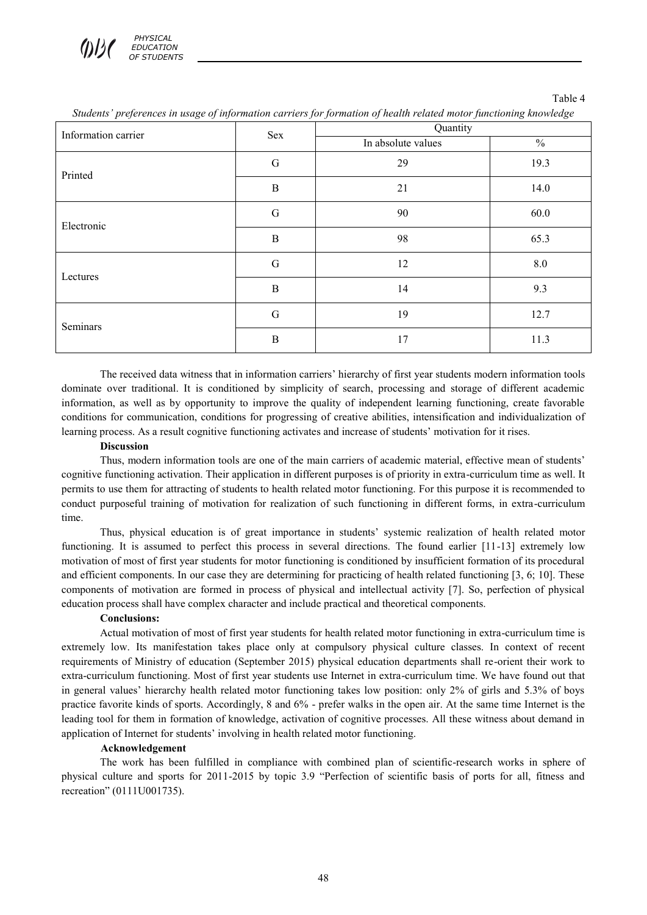| Information carrier | Sex          | Quantity           |               |  |  |  |  |
|---------------------|--------------|--------------------|---------------|--|--|--|--|
|                     |              | In absolute values | $\frac{0}{0}$ |  |  |  |  |
| Printed             | $\mathsf G$  | 29                 | 19.3          |  |  |  |  |
|                     | $\mathbf B$  | 21                 | 14.0          |  |  |  |  |
| Electronic          | $\mathsf G$  | 90                 |               |  |  |  |  |
|                     | $\, {\bf B}$ | 98                 | 65.3          |  |  |  |  |
| Lectures            | G            | 12                 | $8.0\,$       |  |  |  |  |
|                     | $\, {\bf B}$ | 14                 | 9.3           |  |  |  |  |
| Seminars            | $\mathsf G$  | 19                 | 12.7          |  |  |  |  |
|                     | $\, {\bf B}$ | 17                 | 11.3          |  |  |  |  |

*Students' preferences in usage of information carriers for formation of health related motor functioning knowledge* 

Table 4

The received data witness that in information carriers' hierarchy of first year students modern information tools dominate over traditional. It is conditioned by simplicity of search, processing and storage of different academic information, as well as by opportunity to improve the quality of independent learning functioning, create favorable conditions for communication, conditions for progressing of creative abilities, intensification and individualization of learning process. As a result cognitive functioning activates and increase of students' motivation for it rises.

### **Discussion**

Thus, modern information tools are one of the main carriers of academic material, effective mean of students' cognitive functioning activation. Their application in different purposes is of priority in extra-curriculum time as well. It permits to use them for attracting of students to health related motor functioning. For this purpose it is recommended to conduct purposeful training of motivation for realization of such functioning in different forms, in extra-curriculum time.

Thus, physical education is of great importance in students' systemic realization of health related motor functioning. It is assumed to perfect this process in several directions. The found earlier [11-13] extremely low motivation of most of first year students for motor functioning is conditioned by insufficient formation of its procedural and efficient components. In our case they are determining for practicing of health related functioning [3, 6; 10]. These components of motivation are formed in process of physical and intellectual activity [7]. So, perfection of physical education process shall have complex character and include practical and theoretical components.

# **Conclusions:**

Actual motivation of most of first year students for health related motor functioning in extra-curriculum time is extremely low. Its manifestation takes place only at compulsory physical culture classes. In context of recent requirements of Ministry of education (September 2015) physical education departments shall re-orient their work to extra-curriculum functioning. Most of first year students use Internet in extra-curriculum time. We have found out that in general values' hierarchy health related motor functioning takes low position: only 2% of girls and 5.3% of boys practice favorite kinds of sports. Accordingly, 8 and 6% - prefer walks in the open air. At the same time Internet is the leading tool for them in formation of knowledge, activation of cognitive processes. All these witness about demand in application of Internet for students' involving in health related motor functioning.

# **Acknowledgement**

The work has been fulfilled in compliance with combined plan of scientific-research works in sphere of physical culture and sports for 2011-2015 by topic 3.9 "Perfection of scientific basis of ports for all, fitness and recreation" (0111U001735).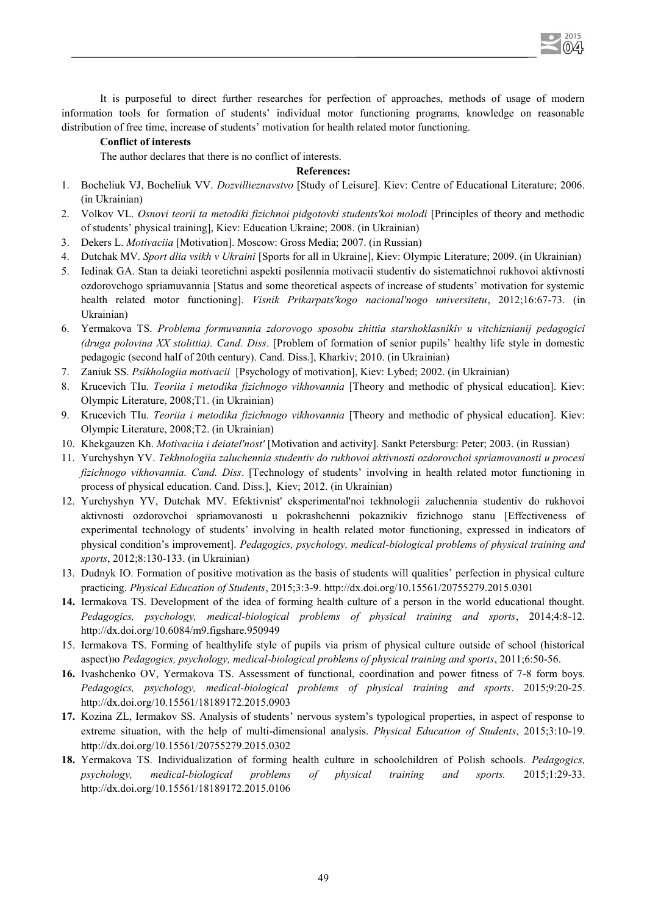It is purposeful to direct further researches for perfection of approaches, methods of usage of modern information tools for formation of students' individual motor functioning programs, knowledge on reasonable distribution of free time, increase of students' motivation for health related motor functioning.

2015  $\bigcap$ 

## **Conflict of interests**

The author declares that there is no conflict of interests.

# **References:**

- 1. Bocheliuk VJ, Bocheliuk VV. *Dozvillieznavstvo* [Study of Leisure]. Kiev: Centre of Educational Literature; 2006. (in Ukrainian)
- 2. Volkov VL. *Osnovi teorii ta metodiki fizichnoi pidgotovki students'koi molodi* [Principles of theory and methodic of students' physical training], Kiev: Education Ukraine; 2008. (in Ukrainian)
- 3. Dekers L. *Motivaciia* [Motivation]. Moscow: Gross Media; 2007. (in Russian)
- 4. Dutchak MV. *Sport dlia vsikh v Ukraini* [Sports for all in Ukraine], Kiev: Olympic Literature; 2009. (in Ukrainian)
- 5. Iedinak GA. Stan ta deiaki teoretichni aspekti posilennia motivacii studentiv do sistematichnoi rukhovoi aktivnosti ozdorovchogo spriamuvannia [Status and some theoretical aspects of increase of students' motivation for systemic health related motor functioning]. *Visnik Prikarpats'kogo nacional'nogo universitetu*, 2012;16:67-73. (in Ukrainian)
- 6. Yermakova TS. *Problema formuvannia zdorovogo sposobu zhittia starshoklasnikiv u vitchiznianij pedagogici (druga polovina XX stolittia). Cand. Diss*. [Problem of formation of senior pupils' healthy life style in domestic pedagogic (second half of 20th century). Cand. Diss.], Kharkiv; 2010. (in Ukrainian)
- 7. Zaniuk SS. *Psikhologiia motivacii* [Psychology of motivation], Kiev: Lybed; 2002. (in Ukrainian)
- 8. Krucevich TIu. *Teoriia i metodika fizichnogo vikhovannia* [Theory and methodic of physical education]. Kiev: Olympic Literature, 2008;T1. (in Ukrainian)
- 9. Krucevich TIu. *Teoriia i metodika fizichnogo vikhovannia* [Theory and methodic of physical education]. Kiev: Olympic Literature, 2008;T2. (in Ukrainian)
- 10. Khekgauzen Kh. *Motivaciia i deiatel'nost'* [Motivation and activity]. Sankt Petersburg: Peter; 2003. (in Russian)
- 11. Yurchyshyn YV. *Tekhnologiia zaluchennia studentiv do rukhovoi aktivnosti ozdorovchoi spriamovanosti u procesi fizichnogo vikhovannia. Cand. Diss*. [Technology of students' involving in health related motor functioning in process of physical education. Cand. Diss.], Kiev; 2012. (in Ukrainian)
- 12. Yurchyshyn YV, Dutchak MV. Efektivnist' eksperimental'noi tekhnologii zaluchennia studentiv do rukhovoi aktivnosti ozdorovchoi spriamovanosti u pokrashchenni pokaznikiv fizichnogo stanu [Effectiveness of experimental technology of students' involving in health related motor functioning, expressed in indicators of physical condition's improvement]. *Pedagogics, psychology, medical-biological problems of physical training and sports*, 2012;8:130-133. (in Ukrainian)
- 13. Dudnyk IO. Formation of positive motivation as the basis of students will qualities' perfection in physical culture practicing. *Physical Education of Students*, 2015;3:3-9. http://dx.doi.org/10.15561/20755279.2015.0301
- **14.** Iermakova TS. Development of the idea of forming health culture of a person in the world educational thought. *Pedagogics, psychology, medical-biological problems of physical training and sports*, 2014;4:8-12. http://dx.doi.org/10.6084/m9.figshare.950949
- 15. Iermakova TS. Forming of healthylife style of pupils via prism of physical culture outside of school (historical aspect)ю *Pedagogics, psychology, medical-biological problems of physical training and sports*, 2011;6:50-56.
- **16.** Ivashchenko OV, Yermakova TS. Assessment of functional, coordination and power fitness of 7-8 form boys. *Pedagogics, psychology, medical-biological problems of physical training and sports*. 2015;9:20-25. http://dx.doi.org/10.15561/18189172.2015.0903
- **17.** Kozina ZL, Iermakov SS. Analysis of students' nervous system's typological properties, in aspect of response to extreme situation, with the help of multi-dimensional analysis. *Physical Education of Students*, 2015;3:10-19. http://dx.doi.org/10.15561/20755279.2015.0302
- **18.** Yermakova TS. Individualization of forming health culture in schoolchildren of Polish schools. *Pedagogics, psychology, medical-biological problems of physical training and sports.* 2015;1:29-33. http://dx.doi.org/10.15561/18189172.2015.0106